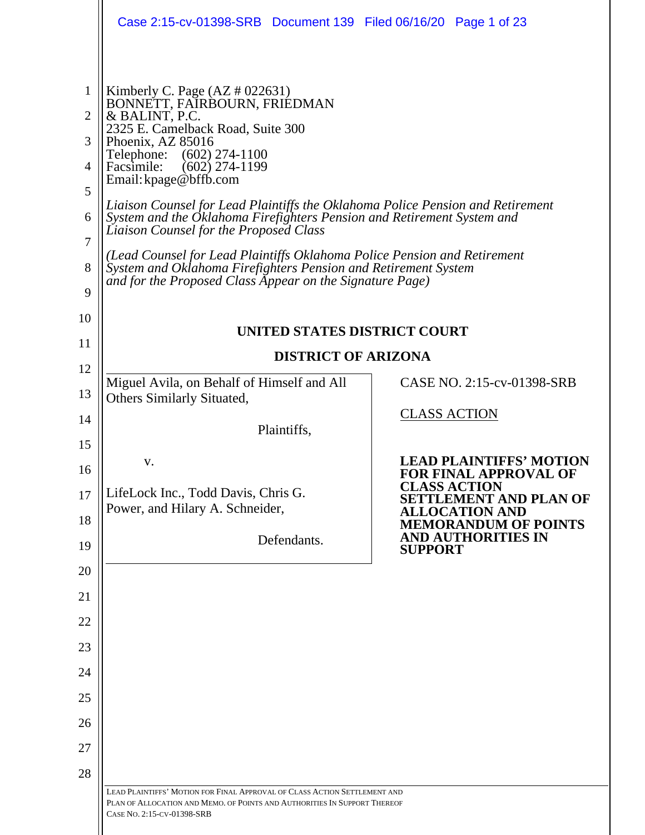|                                                                           | Case 2:15-cv-01398-SRB Document 139 Filed 06/16/20 Page 1 of 23                                                                                                                                                                                                                                                                                                                                                                                                                                                                                                                                                                                            |                                                                                                                 |
|---------------------------------------------------------------------------|------------------------------------------------------------------------------------------------------------------------------------------------------------------------------------------------------------------------------------------------------------------------------------------------------------------------------------------------------------------------------------------------------------------------------------------------------------------------------------------------------------------------------------------------------------------------------------------------------------------------------------------------------------|-----------------------------------------------------------------------------------------------------------------|
| 1<br>$\overline{2}$<br>3<br>4<br>5<br>6<br>$\overline{7}$<br>8<br>9<br>10 | Kimberly C. Page $(AZ \# 022631)$<br>BONNETT, FAIRBOURN, FRIEDMAN<br>& BALINT, P.C.<br>2325 E. Camelback Road, Suite 300<br>Phoenix, AZ 85016<br>Telephone:<br>$(602)$ 274-1100<br>$(602)$ 274-1199<br>Facsimile:<br>Email: kpage@bffb.com<br>Liaison Counsel for Lead Plaintiffs the Oklahoma Police Pension and Retirement<br>System and the Oklahoma Firefighters Pension and Retirement System and<br>Liaison Counsel for the Proposed Class<br>(Lead Counsel for Lead Plaintiffs Oklahoma Police Pension and Retirement<br>System and Oklahoma Firefighters Pension and Retirement System<br>and for the Proposed Class Appear on the Signature Page) |                                                                                                                 |
| 11                                                                        | UNITED STATES DISTRICT COURT                                                                                                                                                                                                                                                                                                                                                                                                                                                                                                                                                                                                                               |                                                                                                                 |
| 12                                                                        | <b>DISTRICT OF ARIZONA</b>                                                                                                                                                                                                                                                                                                                                                                                                                                                                                                                                                                                                                                 |                                                                                                                 |
| 13                                                                        | Miguel Avila, on Behalf of Himself and All<br>Others Similarly Situated,                                                                                                                                                                                                                                                                                                                                                                                                                                                                                                                                                                                   | CASE NO. 2:15-cv-01398-SRB                                                                                      |
| 14                                                                        |                                                                                                                                                                                                                                                                                                                                                                                                                                                                                                                                                                                                                                                            | <b>CLASS ACTION</b>                                                                                             |
| 15                                                                        | Plaintiffs,                                                                                                                                                                                                                                                                                                                                                                                                                                                                                                                                                                                                                                                |                                                                                                                 |
| 16<br>17                                                                  | V.<br>LifeLock Inc., Todd Davis, Chris G.                                                                                                                                                                                                                                                                                                                                                                                                                                                                                                                                                                                                                  | <b>LEAD PLAINTIFFS' MOTION</b><br><b>FOR FINAL APPROVAL OF</b><br><b>CLASS ACTION</b><br>SETTLEMENT AND PLAN OF |
| 18                                                                        | Power, and Hilary A. Schneider,                                                                                                                                                                                                                                                                                                                                                                                                                                                                                                                                                                                                                            | <b>ALLOCATION AND</b><br><b>MEMORANDUM OF POINTS</b>                                                            |
| 19                                                                        | Defendants.                                                                                                                                                                                                                                                                                                                                                                                                                                                                                                                                                                                                                                                | <b>AND AUTHORITIES IN</b><br><b>SUPPORT</b>                                                                     |
| 20                                                                        |                                                                                                                                                                                                                                                                                                                                                                                                                                                                                                                                                                                                                                                            |                                                                                                                 |
| 21                                                                        |                                                                                                                                                                                                                                                                                                                                                                                                                                                                                                                                                                                                                                                            |                                                                                                                 |
| 22                                                                        |                                                                                                                                                                                                                                                                                                                                                                                                                                                                                                                                                                                                                                                            |                                                                                                                 |
| 23                                                                        |                                                                                                                                                                                                                                                                                                                                                                                                                                                                                                                                                                                                                                                            |                                                                                                                 |
| 24                                                                        |                                                                                                                                                                                                                                                                                                                                                                                                                                                                                                                                                                                                                                                            |                                                                                                                 |
| 25                                                                        |                                                                                                                                                                                                                                                                                                                                                                                                                                                                                                                                                                                                                                                            |                                                                                                                 |
| 26                                                                        |                                                                                                                                                                                                                                                                                                                                                                                                                                                                                                                                                                                                                                                            |                                                                                                                 |
| 27                                                                        |                                                                                                                                                                                                                                                                                                                                                                                                                                                                                                                                                                                                                                                            |                                                                                                                 |
| 28                                                                        | LEAD PLAINTIFFS' MOTION FOR FINAL APPROVAL OF CLASS ACTION SETTLEMENT AND                                                                                                                                                                                                                                                                                                                                                                                                                                                                                                                                                                                  |                                                                                                                 |
|                                                                           | PLAN OF ALLOCATION AND MEMO. OF POINTS AND AUTHORITIES IN SUPPORT THEREOF<br>CASE NO. 2:15-CV-01398-SRB                                                                                                                                                                                                                                                                                                                                                                                                                                                                                                                                                    |                                                                                                                 |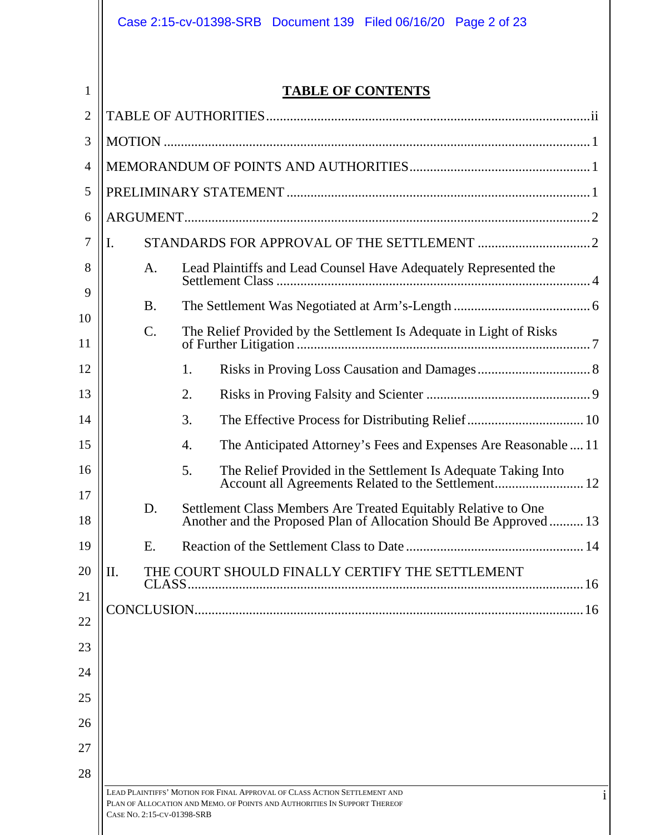|                |                            | Case 2:15-cv-01398-SRB Document 139 Filed 06/16/20 Page 2 of 23                                                                      |
|----------------|----------------------------|--------------------------------------------------------------------------------------------------------------------------------------|
| $\mathbf{1}$   |                            | <b>TABLE OF CONTENTS</b>                                                                                                             |
| $\overline{2}$ |                            |                                                                                                                                      |
| 3              |                            |                                                                                                                                      |
| 4              |                            |                                                                                                                                      |
| 5              |                            |                                                                                                                                      |
| 6              |                            |                                                                                                                                      |
| 7              | I.                         |                                                                                                                                      |
| 8              | A.                         | Lead Plaintiffs and Lead Counsel Have Adequately Represented the                                                                     |
| 9              | <b>B.</b>                  |                                                                                                                                      |
| 10<br>11       | C.                         | The Relief Provided by the Settlement Is Adequate in Light of Risks                                                                  |
| 12             |                            | 1.                                                                                                                                   |
| 13             |                            | 2.                                                                                                                                   |
| 14             |                            | The Effective Process for Distributing Relief  10<br>3.                                                                              |
| 15             |                            | The Anticipated Attorney's Fees and Expenses Are Reasonable  11<br>4.                                                                |
| 16             |                            | 5.<br>The Relief Provided in the Settlement Is Adequate Taking Into                                                                  |
| 17<br>18       | D.                         | Settlement Class Members Are Treated Equitably Relative to One<br>Another and the Proposed Plan of Allocation Should Be Approved  13 |
| 19             | Ε.                         |                                                                                                                                      |
| 20             | Π.                         | THE COURT SHOULD FINALLY CERTIFY THE SETTLEMENT                                                                                      |
| 21             |                            |                                                                                                                                      |
| 22             |                            |                                                                                                                                      |
| 23             |                            |                                                                                                                                      |
| 24             |                            |                                                                                                                                      |
| 25             |                            |                                                                                                                                      |
| 26<br>27       |                            |                                                                                                                                      |
| 28             |                            |                                                                                                                                      |
|                |                            | LEAD PLAINTIFFS' MOTION FOR FINAL APPROVAL OF CLASS ACTION SETTLEMENT AND<br>$\mathbf{1}$                                            |
|                | CASE NO. 2:15-CV-01398-SRB | PLAN OF ALLOCATION AND MEMO. OF POINTS AND AUTHORITIES IN SUPPORT THEREOF                                                            |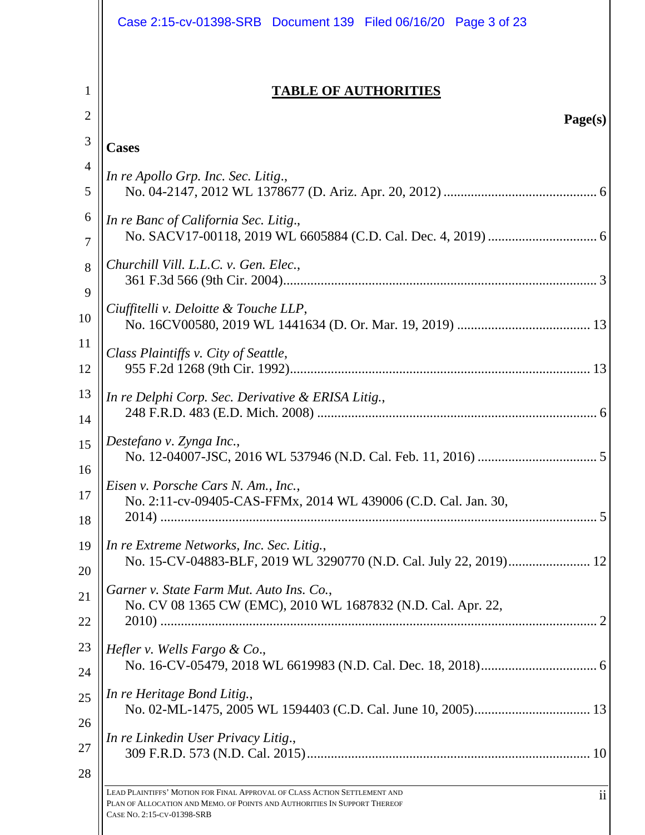| Case 2:15-cv-01398-SRB Document 139 Filed 06/16/20 Page 3 of 23                                                                                                                      |
|--------------------------------------------------------------------------------------------------------------------------------------------------------------------------------------|
| <b>TABLE OF AUTHORITIES</b>                                                                                                                                                          |
| Page(s)                                                                                                                                                                              |
| <b>Cases</b>                                                                                                                                                                         |
| In re Apollo Grp. Inc. Sec. Litig.,                                                                                                                                                  |
| In re Banc of California Sec. Litig.,                                                                                                                                                |
| Churchill Vill. L.L.C. v. Gen. Elec.,                                                                                                                                                |
| Ciuffitelli v. Deloitte & Touche LLP,                                                                                                                                                |
| Class Plaintiffs v. City of Seattle,                                                                                                                                                 |
| In re Delphi Corp. Sec. Derivative & ERISA Litig.,                                                                                                                                   |
| Destefano v. Zynga Inc.,                                                                                                                                                             |
| Eisen v. Porsche Cars N. Am., Inc.,<br>No. 2:11-cv-09405-CAS-FFMx, 2014 WL 439006 (C.D. Cal. Jan. 30,                                                                                |
| In re Extreme Networks, Inc. Sec. Litig.,<br>No. 15-CV-04883-BLF, 2019 WL 3290770 (N.D. Cal. July 22, 2019) 12                                                                       |
| Garner v. State Farm Mut. Auto Ins. Co.,<br>No. CV 08 1365 CW (EMC), 2010 WL 1687832 (N.D. Cal. Apr. 22,                                                                             |
| Hefler v. Wells Fargo & Co.,                                                                                                                                                         |
| In re Heritage Bond Litig.,                                                                                                                                                          |
| In re Linkedin User Privacy Litig.,                                                                                                                                                  |
| LEAD PLAINTIFFS' MOTION FOR FINAL APPROVAL OF CLASS ACTION SETTLEMENT AND<br>PLAN OF ALLOCATION AND MEMO. OF POINTS AND AUTHORITIES IN SUPPORT THEREOF<br>CASE NO. 2:15-CV-01398-SRB |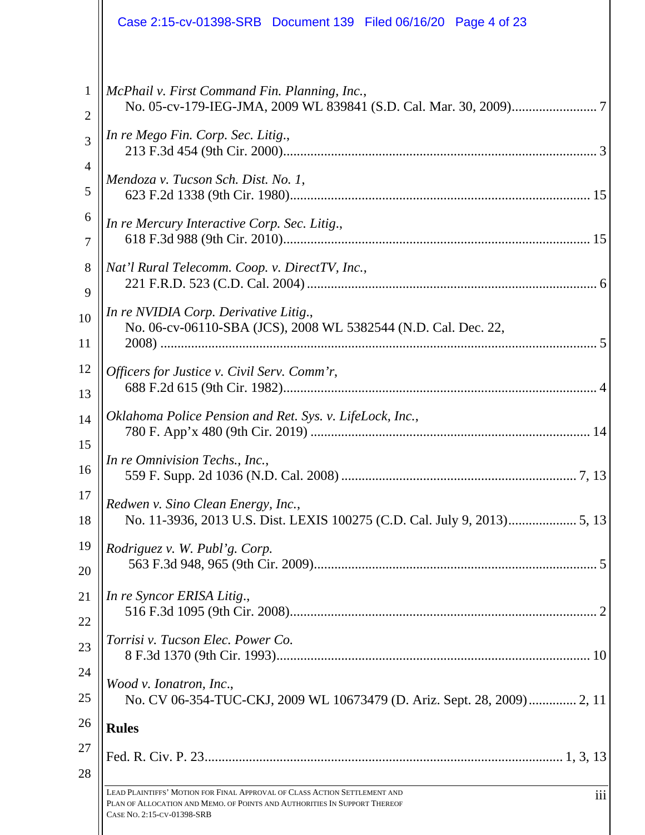|                | Case 2:15-cv-01398-SRB  Document 139  Filed 06/16/20  Page 4 of 23                                                                                                                                       |
|----------------|----------------------------------------------------------------------------------------------------------------------------------------------------------------------------------------------------------|
| $\mathbf{1}$   | McPhail v. First Command Fin. Planning, Inc.,                                                                                                                                                            |
| $\overline{2}$ |                                                                                                                                                                                                          |
| 3              | In re Mego Fin. Corp. Sec. Litig.,                                                                                                                                                                       |
| $\overline{4}$ | Mendoza v. Tucson Sch. Dist. No. 1,                                                                                                                                                                      |
| 5              |                                                                                                                                                                                                          |
| 6              | In re Mercury Interactive Corp. Sec. Litig.,                                                                                                                                                             |
| 7              |                                                                                                                                                                                                          |
| $8\,$          | Nat'l Rural Telecomm. Coop. v. DirectTV, Inc.,                                                                                                                                                           |
| 9              |                                                                                                                                                                                                          |
| 10<br>11       | In re NVIDIA Corp. Derivative Litig.,<br>No. 06-cv-06110-SBA (JCS), 2008 WL 5382544 (N.D. Cal. Dec. 22,                                                                                                  |
| 12             | Officers for Justice v. Civil Serv. Comm'r,                                                                                                                                                              |
| 13             |                                                                                                                                                                                                          |
| 14             | Oklahoma Police Pension and Ret. Sys. v. LifeLock, Inc.,                                                                                                                                                 |
| 15             |                                                                                                                                                                                                          |
| 16             | In re Omnivision Techs., Inc.,                                                                                                                                                                           |
| 17             | Redwen v. Sino Clean Energy, Inc.,                                                                                                                                                                       |
| 18             | No. 11-3936, 2013 U.S. Dist. LEXIS 100275 (C.D. Cal. July 9, 2013) 5, 13                                                                                                                                 |
| 19             | Rodriguez v. W. Publ'g. Corp.                                                                                                                                                                            |
| 20             |                                                                                                                                                                                                          |
| 21             | In re Syncor ERISA Litig.,                                                                                                                                                                               |
| 22             |                                                                                                                                                                                                          |
| 23             | Torrisi v. Tucson Elec. Power Co.                                                                                                                                                                        |
| 24             | Wood v. Ionatron, Inc.,                                                                                                                                                                                  |
| 25             | No. CV 06-354-TUC-CKJ, 2009 WL 10673479 (D. Ariz. Sept. 28, 2009) 2, 11                                                                                                                                  |
| 26             | <b>Rules</b>                                                                                                                                                                                             |
| 27<br>28       |                                                                                                                                                                                                          |
|                | LEAD PLAINTIFFS' MOTION FOR FINAL APPROVAL OF CLASS ACTION SETTLEMENT AND<br>$\overline{111}$<br>PLAN OF ALLOCATION AND MEMO. OF POINTS AND AUTHORITIES IN SUPPORT THEREOF<br>CASE NO. 2:15-CV-01398-SRB |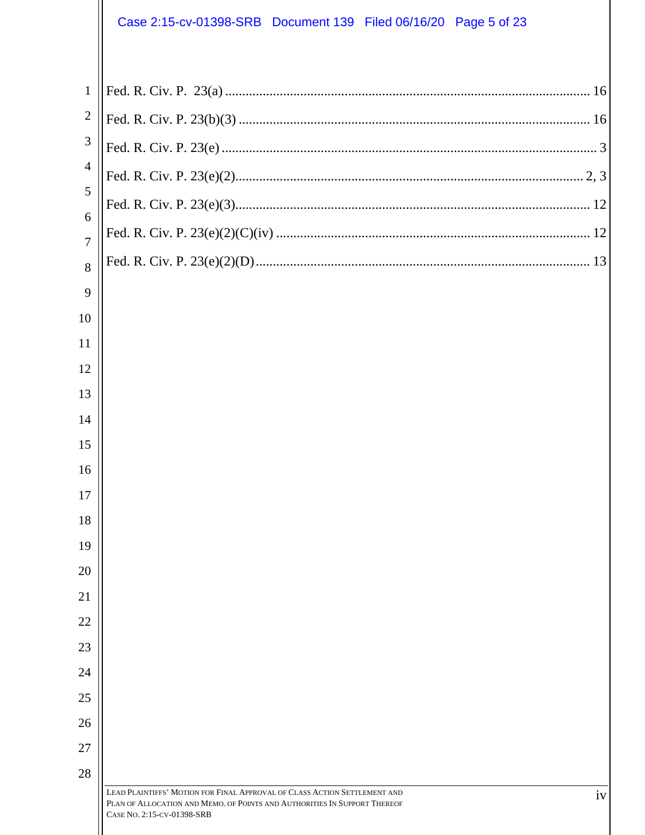# Case 2:15-cv-01398-SRB Document 139 Filed 06/16/20 Page 5 of 23

| $\mathbf{1}$        |  |
|---------------------|--|
| $\sqrt{2}$          |  |
| $\mathfrak{Z}$      |  |
| $\overline{4}$      |  |
| 5                   |  |
| 6<br>$\overline{7}$ |  |
| 8                   |  |
| 9                   |  |
| 10                  |  |
| 11                  |  |
| 12                  |  |
| 13                  |  |
| 14                  |  |
| 15                  |  |
| 16                  |  |
| 17                  |  |
| 18                  |  |
| 19                  |  |
| 20<br>21            |  |
| 22                  |  |
| 23                  |  |
| 24                  |  |
| 25                  |  |
| 26                  |  |
| 27                  |  |
| 28                  |  |
|                     |  |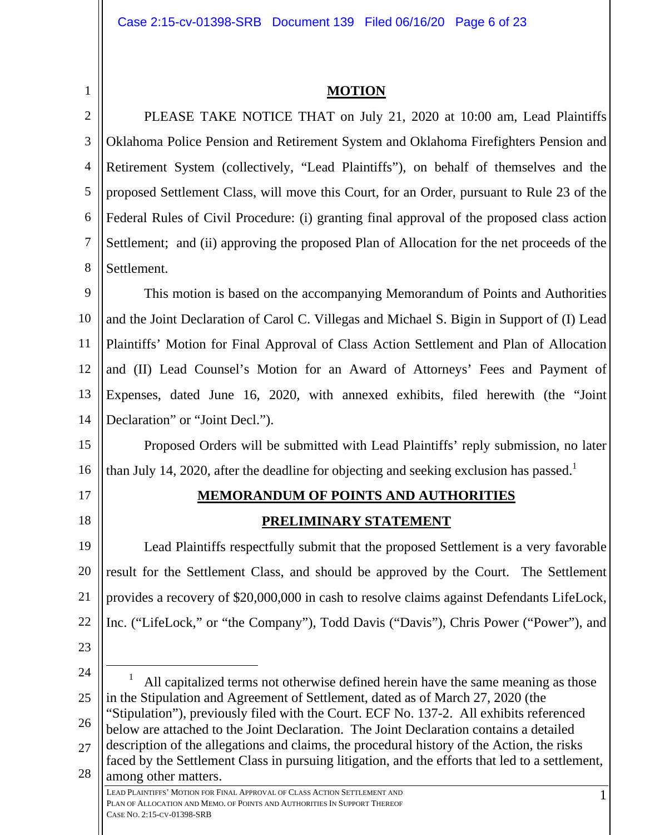#### **MOTION**

2 3 4 5 6 7 8 PLEASE TAKE NOTICE THAT on July 21, 2020 at 10:00 am, Lead Plaintiffs Oklahoma Police Pension and Retirement System and Oklahoma Firefighters Pension and Retirement System (collectively, "Lead Plaintiffs"), on behalf of themselves and the proposed Settlement Class, will move this Court, for an Order, pursuant to Rule 23 of the Federal Rules of Civil Procedure: (i) granting final approval of the proposed class action Settlement; and (ii) approving the proposed Plan of Allocation for the net proceeds of the Settlement.

9 10 11 12 13 14 This motion is based on the accompanying Memorandum of Points and Authorities and the Joint Declaration of Carol C. Villegas and Michael S. Bigin in Support of (I) Lead Plaintiffs' Motion for Final Approval of Class Action Settlement and Plan of Allocation and (II) Lead Counsel's Motion for an Award of Attorneys' Fees and Payment of Expenses, dated June 16, 2020, with annexed exhibits, filed herewith (the "Joint Declaration" or "Joint Decl.").

15 16 Proposed Orders will be submitted with Lead Plaintiffs' reply submission, no later than July 14, 2020, after the deadline for objecting and seeking exclusion has passed.<sup>1</sup>

17

18

1

## **MEMORANDUM OF POINTS AND AUTHORITIES**

## **PRELIMINARY STATEMENT**

19 20 21 22 Lead Plaintiffs respectfully submit that the proposed Settlement is a very favorable result for the Settlement Class, and should be approved by the Court. The Settlement provides a recovery of \$20,000,000 in cash to resolve claims against Defendants LifeLock, Inc. ("LifeLock," or "the Company"), Todd Davis ("Davis"), Chris Power ("Power"), and

- 23
- 24 25 26 27 28 LEAD PLAINTIFFS' MOTION FOR FINAL APPROVAL OF CLASS ACTION SETTLEMENT AND PLAN OF ALLOCATION AND MEMO. OF POINTS AND AUTHORITIES IN SUPPORT THEREOF CASE NO. 2:15-CV-01398-SRB  $\overline{\phantom{0}1}$  All capitalized terms not otherwise defined herein have the same meaning as those in the Stipulation and Agreement of Settlement, dated as of March 27, 2020 (the "Stipulation"), previously filed with the Court. ECF No. 137-2. All exhibits referenced below are attached to the Joint Declaration. The Joint Declaration contains a detailed description of the allegations and claims, the procedural history of the Action, the risks faced by the Settlement Class in pursuing litigation, and the efforts that led to a settlement, among other matters.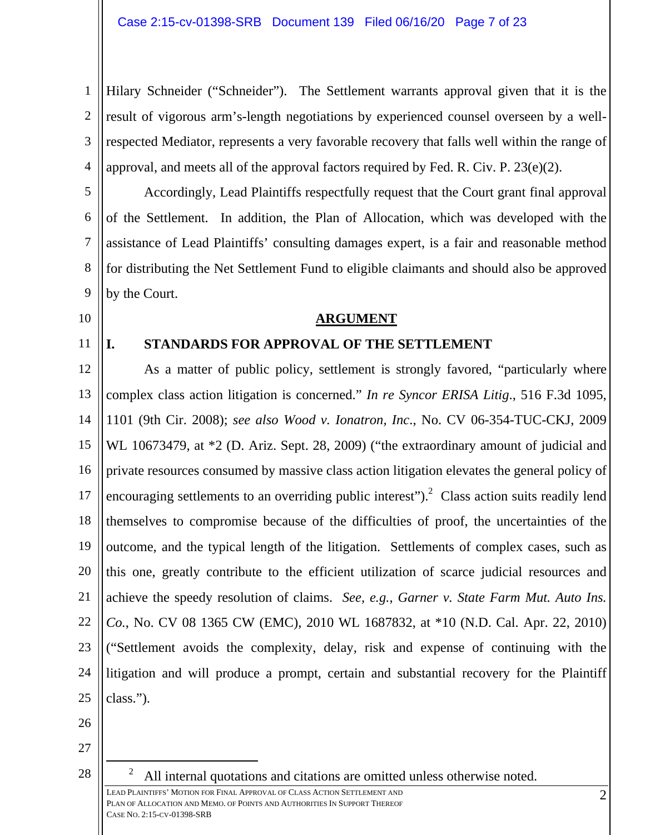1 2 3 4 Hilary Schneider ("Schneider"). The Settlement warrants approval given that it is the result of vigorous arm's-length negotiations by experienced counsel overseen by a wellrespected Mediator, represents a very favorable recovery that falls well within the range of approval, and meets all of the approval factors required by Fed. R. Civ. P. 23(e)(2).

5 6 7 8 9 Accordingly, Lead Plaintiffs respectfully request that the Court grant final approval of the Settlement. In addition, the Plan of Allocation, which was developed with the assistance of Lead Plaintiffs' consulting damages expert, is a fair and reasonable method for distributing the Net Settlement Fund to eligible claimants and should also be approved by the Court.

**ARGUMENT** 

10

11

## **I. STANDARDS FOR APPROVAL OF THE SETTLEMENT**

12 13 14 15 16 17 18 19 20 21 22 23 24 25 As a matter of public policy, settlement is strongly favored, "particularly where complex class action litigation is concerned." *In re Syncor ERISA Litig*., 516 F.3d 1095, 1101 (9th Cir. 2008); *see also Wood v. Ionatron, Inc*., No. CV 06-354-TUC-CKJ, 2009 WL 10673479, at  $*2$  (D. Ariz. Sept. 28, 2009) ("the extraordinary amount of judicial and private resources consumed by massive class action litigation elevates the general policy of encouraging settlements to an overriding public interest").<sup>2</sup> Class action suits readily lend themselves to compromise because of the difficulties of proof, the uncertainties of the outcome, and the typical length of the litigation. Settlements of complex cases, such as this one, greatly contribute to the efficient utilization of scarce judicial resources and achieve the speedy resolution of claims. *See, e.g.*, *Garner v. State Farm Mut. Auto Ins. Co.*, No. CV 08 1365 CW (EMC), 2010 WL 1687832, at \*10 (N.D. Cal. Apr. 22, 2010) ("Settlement avoids the complexity, delay, risk and expense of continuing with the litigation and will produce a prompt, certain and substantial recovery for the Plaintiff class.").

26

27

28

 2 All internal quotations and citations are omitted unless otherwise noted.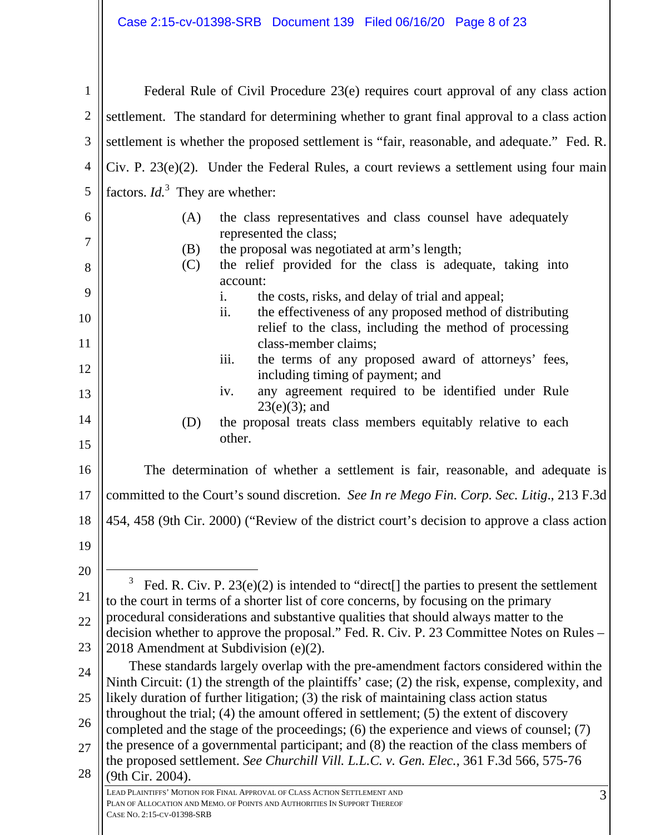| $\mathbf{1}$ | Federal Rule of Civil Procedure 23(e) requires court approval of any class action                                                                                                       |  |
|--------------|-----------------------------------------------------------------------------------------------------------------------------------------------------------------------------------------|--|
| $\mathbf{2}$ | settlement. The standard for determining whether to grant final approval to a class action                                                                                              |  |
| 3            | settlement is whether the proposed settlement is "fair, reasonable, and adequate." Fed. R.                                                                                              |  |
| 4            | $Civ.$ P. 23 $(e)(2)$ . Under the Federal Rules, a court reviews a settlement using four main                                                                                           |  |
| 5            | factors. $Id3$ They are whether:                                                                                                                                                        |  |
| 6            | the class representatives and class counsel have adequately<br>(A)                                                                                                                      |  |
| $\tau$       | represented the class;                                                                                                                                                                  |  |
| 8            | the proposal was negotiated at arm's length;<br>(B)<br>the relief provided for the class is adequate, taking into<br>(C)                                                                |  |
|              | account:                                                                                                                                                                                |  |
| 9            | the costs, risks, and delay of trial and appeal;<br>i.<br>ii.<br>the effectiveness of any proposed method of distributing                                                               |  |
| 10           | relief to the class, including the method of processing                                                                                                                                 |  |
| 11           | class-member claims;<br>the terms of any proposed award of attorneys' fees,<br>iii.                                                                                                     |  |
| 12           | including timing of payment; and                                                                                                                                                        |  |
| 13           | any agreement required to be identified under Rule<br>iv.<br>$23(e)(3)$ ; and                                                                                                           |  |
| 14           | the proposal treats class members equitably relative to each<br>(D)<br>other.                                                                                                           |  |
| 15           |                                                                                                                                                                                         |  |
| 16           | The determination of whether a settlement is fair, reasonable, and adequate is                                                                                                          |  |
| 17           | committed to the Court's sound discretion. See In re Mego Fin. Corp. Sec. Litig., 213 F.3d                                                                                              |  |
| 18           | 454, 458 (9th Cir. 2000) ("Review of the district court's decision to approve a class action                                                                                            |  |
| 19           |                                                                                                                                                                                         |  |
| 20           | 3                                                                                                                                                                                       |  |
| 21           | Fed. R. Civ. P. $23(e)(2)$ is intended to "direct.] the parties to present the settlement<br>to the court in terms of a shorter list of core concerns, by focusing on the primary       |  |
| 22           | procedural considerations and substantive qualities that should always matter to the<br>decision whether to approve the proposal." Fed. R. Civ. P. 23 Committee Notes on Rules -        |  |
| 23           | 2018 Amendment at Subdivision (e)(2).                                                                                                                                                   |  |
| 24           | These standards largely overlap with the pre-amendment factors considered within the<br>Ninth Circuit: (1) the strength of the plaintiffs' case; (2) the risk, expense, complexity, and |  |
| 25           | likely duration of further litigation; (3) the risk of maintaining class action status                                                                                                  |  |
| 26           | throughout the trial; $(4)$ the amount offered in settlement; $(5)$ the extent of discovery<br>completed and the stage of the proceedings; (6) the experience and views of counsel; (7) |  |
| 27           | the presence of a governmental participant; and (8) the reaction of the class members of                                                                                                |  |
| 28           | the proposed settlement. See Churchill Vill. L.L.C. v. Gen. Elec., 361 F.3d 566, 575-76<br>(9th Cir. 2004).                                                                             |  |
|              | LEAD PLAINTIFFS' MOTION FOR FINAL APPROVAL OF CLASS ACTION SETTLEMENT AND<br>3<br>PLAN OF ALLOCATION AND MEMO. OF POINTS AND AUTHORITIES IN SUPPORT THEREOF                             |  |
|              | CASE NO. 2:15-CV-01398-SRB                                                                                                                                                              |  |
|              |                                                                                                                                                                                         |  |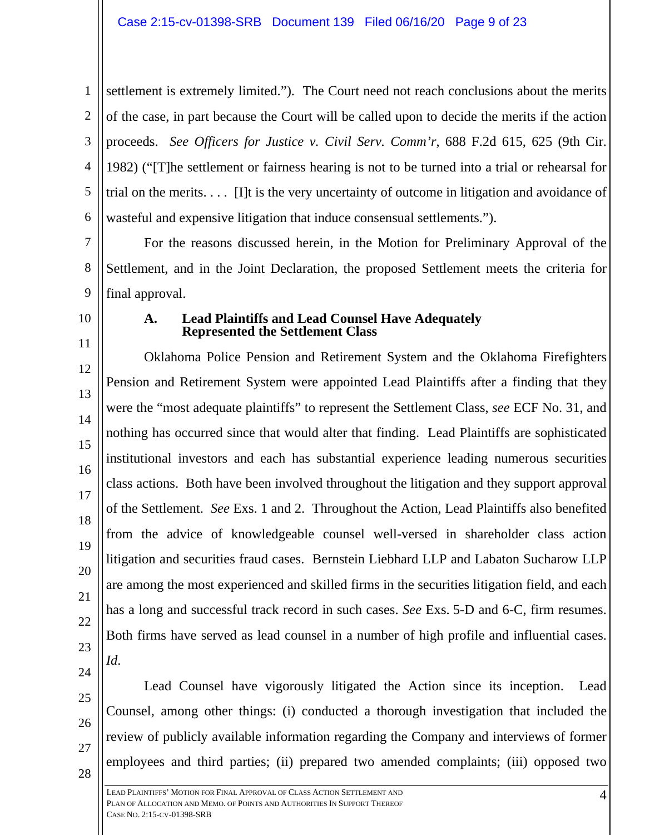1 2 3 4 5 6 settlement is extremely limited."). The Court need not reach conclusions about the merits of the case, in part because the Court will be called upon to decide the merits if the action proceeds. *See Officers for Justice v. Civil Serv. Comm'r*, 688 F.2d 615, 625 (9th Cir. 1982) ("[T]he settlement or fairness hearing is not to be turned into a trial or rehearsal for trial on the merits. . . . [I]t is the very uncertainty of outcome in litigation and avoidance of wasteful and expensive litigation that induce consensual settlements.").

7 8 9 For the reasons discussed herein, in the Motion for Preliminary Approval of the Settlement, and in the Joint Declaration, the proposed Settlement meets the criteria for final approval.

10

11

12

13

14

15

16

17

18

19

20

21

22

23

24

#### **A. Lead Plaintiffs and Lead Counsel Have Adequately Represented the Settlement Class**

Oklahoma Police Pension and Retirement System and the Oklahoma Firefighters Pension and Retirement System were appointed Lead Plaintiffs after a finding that they were the "most adequate plaintiffs" to represent the Settlement Class, *see* ECF No. 31, and nothing has occurred since that would alter that finding. Lead Plaintiffs are sophisticated institutional investors and each has substantial experience leading numerous securities class actions. Both have been involved throughout the litigation and they support approval of the Settlement. *See* Exs. 1 and 2. Throughout the Action, Lead Plaintiffs also benefited from the advice of knowledgeable counsel well-versed in shareholder class action litigation and securities fraud cases. Bernstein Liebhard LLP and Labaton Sucharow LLP are among the most experienced and skilled firms in the securities litigation field, and each has a long and successful track record in such cases. *See* Exs. 5-D and 6-C, firm resumes. Both firms have served as lead counsel in a number of high profile and influential cases. *Id*.

25 26

27

28 Lead Counsel have vigorously litigated the Action since its inception. Lead Counsel, among other things: (i) conducted a thorough investigation that included the review of publicly available information regarding the Company and interviews of former employees and third parties; (ii) prepared two amended complaints; (iii) opposed two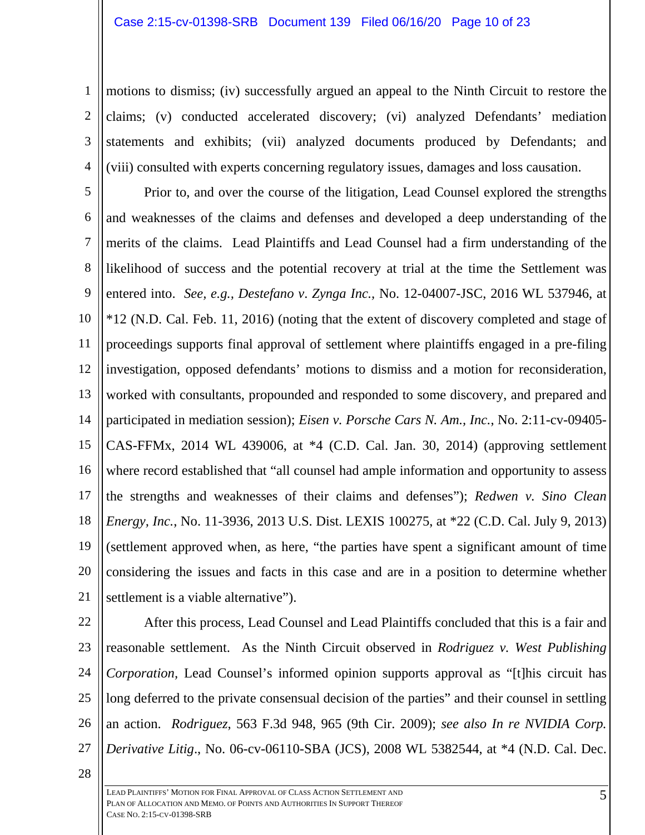1 2 3 4 motions to dismiss; (iv) successfully argued an appeal to the Ninth Circuit to restore the claims; (v) conducted accelerated discovery; (vi) analyzed Defendants' mediation statements and exhibits; (vii) analyzed documents produced by Defendants; and (viii) consulted with experts concerning regulatory issues, damages and loss causation.

5 6 7 8 9 10 11 12 13 14 15 16 17 18 19 20 21 Prior to, and over the course of the litigation, Lead Counsel explored the strengths and weaknesses of the claims and defenses and developed a deep understanding of the merits of the claims. Lead Plaintiffs and Lead Counsel had a firm understanding of the likelihood of success and the potential recovery at trial at the time the Settlement was entered into. *See, e.g., Destefano v*. *Zynga Inc.,* No. 12-04007-JSC, 2016 WL 537946, at \*12 (N.D. Cal. Feb. 11, 2016) (noting that the extent of discovery completed and stage of proceedings supports final approval of settlement where plaintiffs engaged in a pre-filing investigation, opposed defendants' motions to dismiss and a motion for reconsideration, worked with consultants, propounded and responded to some discovery, and prepared and participated in mediation session); *Eisen v. Porsche Cars N. Am., Inc.*, No. 2:11-cv-09405- CAS-FFMx, 2014 WL 439006, at \*4 (C.D. Cal. Jan. 30, 2014) (approving settlement where record established that "all counsel had ample information and opportunity to assess the strengths and weaknesses of their claims and defenses"); *Redwen v. Sino Clean Energy, Inc.*, No. 11-3936, 2013 U.S. Dist. LEXIS 100275, at \*22 (C.D. Cal. July 9, 2013) (settlement approved when, as here, "the parties have spent a significant amount of time considering the issues and facts in this case and are in a position to determine whether settlement is a viable alternative").

22

23 24 25 26 27 After this process, Lead Counsel and Lead Plaintiffs concluded that this is a fair and reasonable settlement. As the Ninth Circuit observed in *Rodriguez v. West Publishing Corporation,* Lead Counsel's informed opinion supports approval as "[t]his circuit has long deferred to the private consensual decision of the parties" and their counsel in settling an action. *Rodriguez*, 563 F.3d 948, 965 (9th Cir. 2009); *see also In re NVIDIA Corp. Derivative Litig*., No. 06-cv-06110-SBA (JCS), 2008 WL 5382544, at \*4 (N.D. Cal. Dec.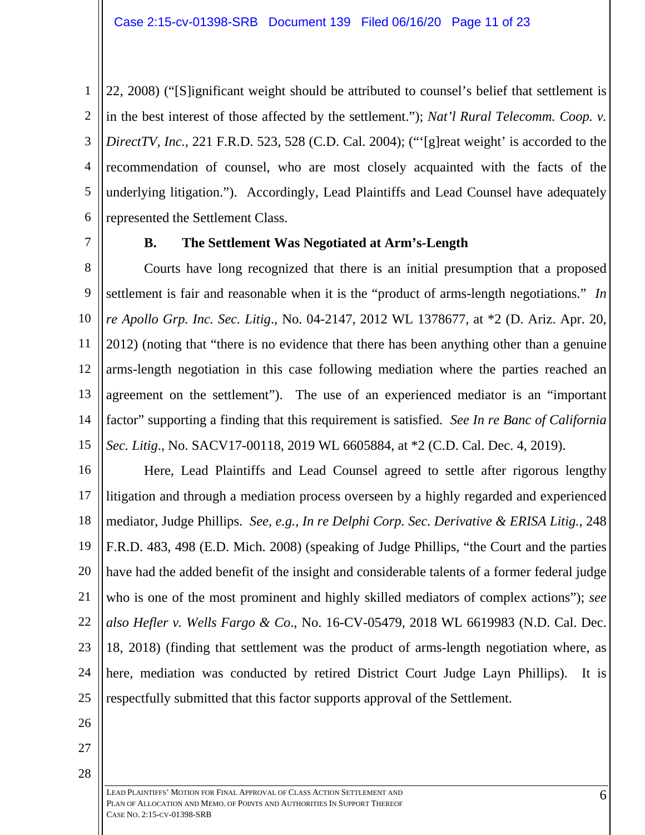1 2 3 4 5 6 22, 2008) ("[S]ignificant weight should be attributed to counsel's belief that settlement is in the best interest of those affected by the settlement."); *Nat'l Rural Telecomm. Coop. v. DirectTV, Inc.,* 221 F.R.D. 523, 528 (C.D. Cal. 2004); (""[g]reat weight' is accorded to the recommendation of counsel, who are most closely acquainted with the facts of the underlying litigation."). Accordingly, Lead Plaintiffs and Lead Counsel have adequately represented the Settlement Class.

7

#### **B. The Settlement Was Negotiated at Arm's-Length**

8 9 10 11 12 13 14 15 Courts have long recognized that there is an initial presumption that a proposed settlement is fair and reasonable when it is the "product of arms-length negotiations." *In re Apollo Grp. Inc. Sec. Litig*., No. 04-2147, 2012 WL 1378677, at \*2 (D. Ariz. Apr. 20, 2012) (noting that "there is no evidence that there has been anything other than a genuine arms-length negotiation in this case following mediation where the parties reached an agreement on the settlement"). The use of an experienced mediator is an "important factor" supporting a finding that this requirement is satisfied. *See In re Banc of California Sec. Litig*., No. SACV17-00118, 2019 WL 6605884, at \*2 (C.D. Cal. Dec. 4, 2019).

16 17 18 19 20 21 22 23 24 25 Here, Lead Plaintiffs and Lead Counsel agreed to settle after rigorous lengthy litigation and through a mediation process overseen by a highly regarded and experienced mediator, Judge Phillips. *See, e.g., In re Delphi Corp. Sec. Derivative & ERISA Litig.,* 248 F.R.D. 483, 498 (E.D. Mich. 2008) (speaking of Judge Phillips, "the Court and the parties have had the added benefit of the insight and considerable talents of a former federal judge who is one of the most prominent and highly skilled mediators of complex actions"); *see also Hefler v. Wells Fargo & Co*., No. 16-CV-05479, 2018 WL 6619983 (N.D. Cal. Dec. 18, 2018) (finding that settlement was the product of arms-length negotiation where, as here, mediation was conducted by retired District Court Judge Layn Phillips). It is respectfully submitted that this factor supports approval of the Settlement.

- 26
- 27
- 28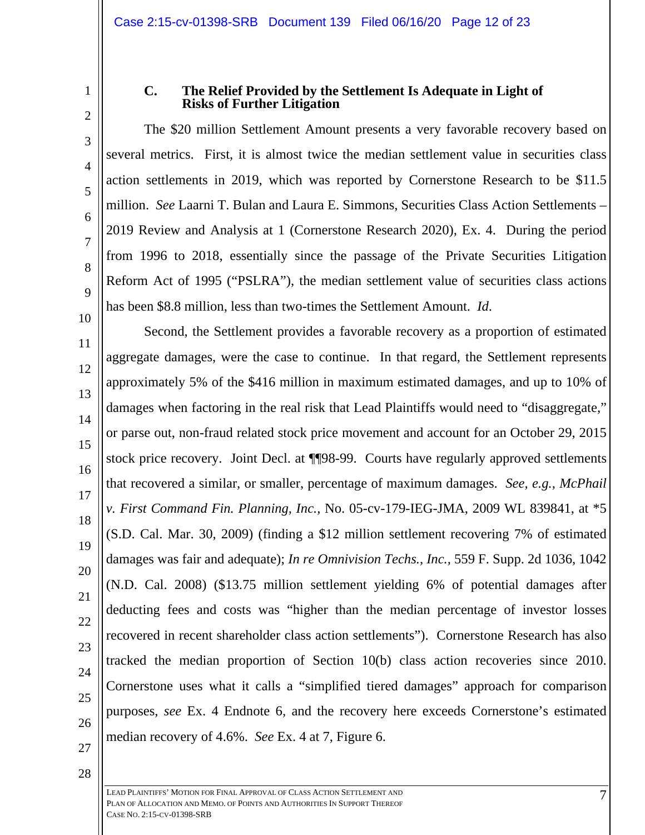1 2

3

4

5

6

7

8

9

10

#### **C. The Relief Provided by the Settlement Is Adequate in Light of Risks of Further Litigation**

The \$20 million Settlement Amount presents a very favorable recovery based on several metrics. First, it is almost twice the median settlement value in securities class action settlements in 2019, which was reported by Cornerstone Research to be \$11.5 million. *See* Laarni T. Bulan and Laura E. Simmons, Securities Class Action Settlements – 2019 Review and Analysis at 1 (Cornerstone Research 2020), Ex. 4. During the period from 1996 to 2018, essentially since the passage of the Private Securities Litigation Reform Act of 1995 ("PSLRA"), the median settlement value of securities class actions has been \$8.8 million, less than two-times the Settlement Amount. *Id*.

11 12 13 14 15 16 17 18 19 20 22 23 24 25 26 Second, the Settlement provides a favorable recovery as a proportion of estimated aggregate damages, were the case to continue. In that regard, the Settlement represents approximately 5% of the \$416 million in maximum estimated damages, and up to 10% of damages when factoring in the real risk that Lead Plaintiffs would need to "disaggregate," or parse out, non-fraud related stock price movement and account for an October 29, 2015 stock price recovery. Joint Decl. at ¶¶98-99. Courts have regularly approved settlements that recovered a similar, or smaller, percentage of maximum damages. *See, e.g., McPhail v. First Command Fin. Planning, Inc.,* No. 05-cv-179-IEG-JMA, 2009 WL 839841, at \*5 (S.D. Cal. Mar. 30, 2009) (finding a \$12 million settlement recovering 7% of estimated damages was fair and adequate); *In re Omnivision Techs., Inc.,* 559 F. Supp. 2d 1036, 1042 (N.D. Cal. 2008) (\$13.75 million settlement yielding 6% of potential damages after deducting fees and costs was "higher than the median percentage of investor losses recovered in recent shareholder class action settlements"). Cornerstone Research has also tracked the median proportion of Section 10(b) class action recoveries since 2010. Cornerstone uses what it calls a "simplified tiered damages" approach for comparison purposes, *see* Ex. 4 Endnote 6, and the recovery here exceeds Cornerstone's estimated median recovery of 4.6%. *See* Ex. 4 at 7, Figure 6.

27 28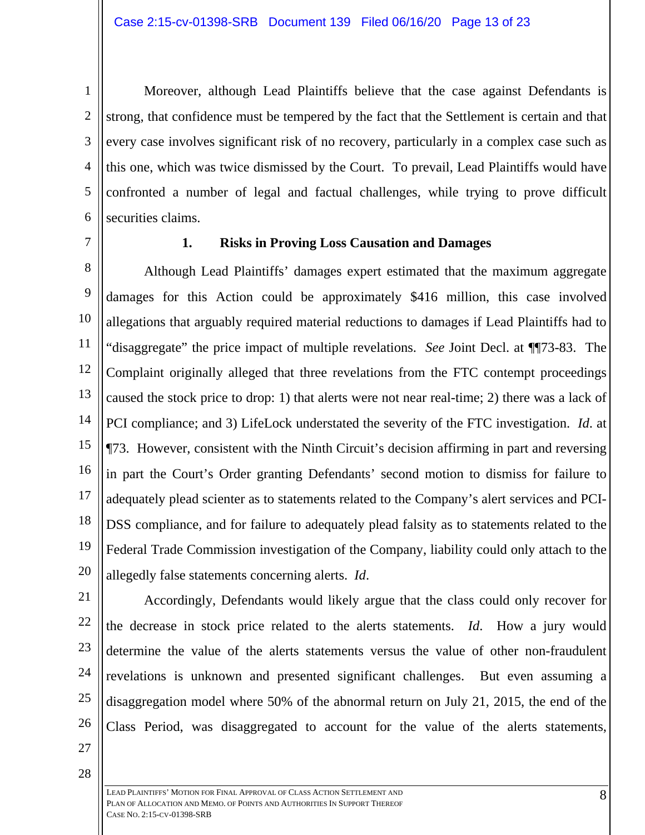1 2 3 4 5 6 Moreover, although Lead Plaintiffs believe that the case against Defendants is strong, that confidence must be tempered by the fact that the Settlement is certain and that every case involves significant risk of no recovery, particularly in a complex case such as this one, which was twice dismissed by the Court. To prevail, Lead Plaintiffs would have confronted a number of legal and factual challenges, while trying to prove difficult securities claims.

7

#### **1. Risks in Proving Loss Causation and Damages**

8 9 10 11 12 13 14 15 16 17 18 19 20 Although Lead Plaintiffs' damages expert estimated that the maximum aggregate damages for this Action could be approximately \$416 million, this case involved allegations that arguably required material reductions to damages if Lead Plaintiffs had to "disaggregate" the price impact of multiple revelations. *See* Joint Decl. at ¶¶73-83. The Complaint originally alleged that three revelations from the FTC contempt proceedings caused the stock price to drop: 1) that alerts were not near real-time; 2) there was a lack of PCI compliance; and 3) LifeLock understated the severity of the FTC investigation. *Id*. at ¶73. However, consistent with the Ninth Circuit's decision affirming in part and reversing in part the Court's Order granting Defendants' second motion to dismiss for failure to adequately plead scienter as to statements related to the Company's alert services and PCI-DSS compliance, and for failure to adequately plead falsity as to statements related to the Federal Trade Commission investigation of the Company, liability could only attach to the allegedly false statements concerning alerts. *Id*.

21

22 23 24 25 26 Accordingly, Defendants would likely argue that the class could only recover for the decrease in stock price related to the alerts statements. *Id*. How a jury would determine the value of the alerts statements versus the value of other non-fraudulent revelations is unknown and presented significant challenges. But even assuming a disaggregation model where 50% of the abnormal return on July 21, 2015, the end of the Class Period, was disaggregated to account for the value of the alerts statements,

- 27
- 28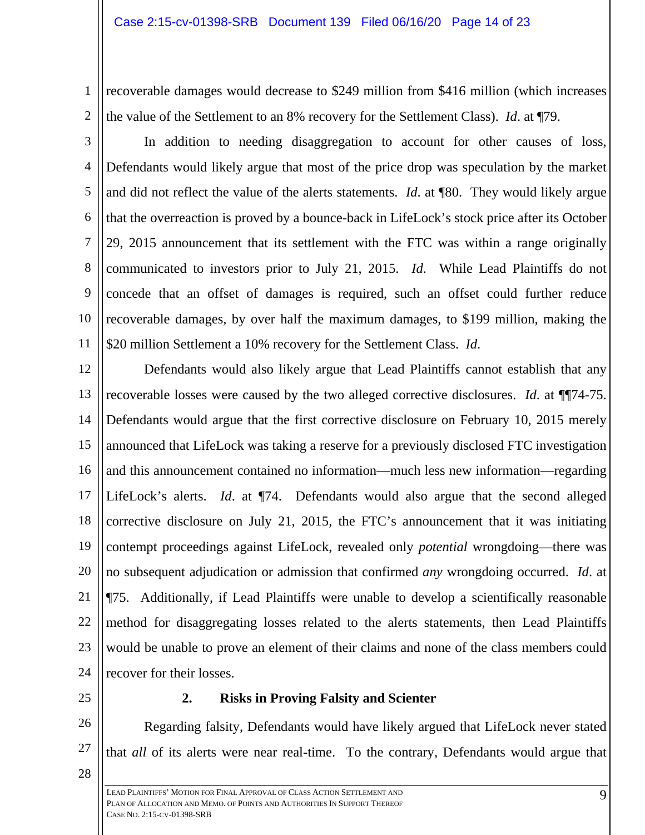1 2 recoverable damages would decrease to \$249 million from \$416 million (which increases the value of the Settlement to an 8% recovery for the Settlement Class). *Id*. at ¶79.

3 4 5 6 7 8 9 10 11 In addition to needing disaggregation to account for other causes of loss, Defendants would likely argue that most of the price drop was speculation by the market and did not reflect the value of the alerts statements. *Id*. at ¶80. They would likely argue that the overreaction is proved by a bounce-back in LifeLock's stock price after its October 29, 2015 announcement that its settlement with the FTC was within a range originally communicated to investors prior to July 21, 2015. *Id*. While Lead Plaintiffs do not concede that an offset of damages is required, such an offset could further reduce recoverable damages, by over half the maximum damages, to \$199 million, making the \$20 million Settlement a 10% recovery for the Settlement Class. *Id*.

12 13 14 15 16 17 18 19 20 21 22 23 24 Defendants would also likely argue that Lead Plaintiffs cannot establish that any recoverable losses were caused by the two alleged corrective disclosures. *Id*. at ¶¶74-75. Defendants would argue that the first corrective disclosure on February 10, 2015 merely announced that LifeLock was taking a reserve for a previously disclosed FTC investigation and this announcement contained no information—much less new information—regarding LifeLock's alerts. *Id*. at ¶74. Defendants would also argue that the second alleged corrective disclosure on July 21, 2015, the FTC's announcement that it was initiating contempt proceedings against LifeLock, revealed only *potential* wrongdoing—there was no subsequent adjudication or admission that confirmed *any* wrongdoing occurred. *Id*. at ¶75. Additionally, if Lead Plaintiffs were unable to develop a scientifically reasonable method for disaggregating losses related to the alerts statements, then Lead Plaintiffs would be unable to prove an element of their claims and none of the class members could recover for their losses.

25

27

28

#### **2. Risks in Proving Falsity and Scienter**

26 Regarding falsity, Defendants would have likely argued that LifeLock never stated that *all* of its alerts were near real-time. To the contrary, Defendants would argue that

LEAD PLAINTIFFS' MOTION FOR FINAL APPROVAL OF CLASS ACTION SETTLEMENT AND PLAN OF ALLOCATION AND MEMO. OF POINTS AND AUTHORITIES IN SUPPORT THEREOF CASE NO. 2:15-CV-01398-SRB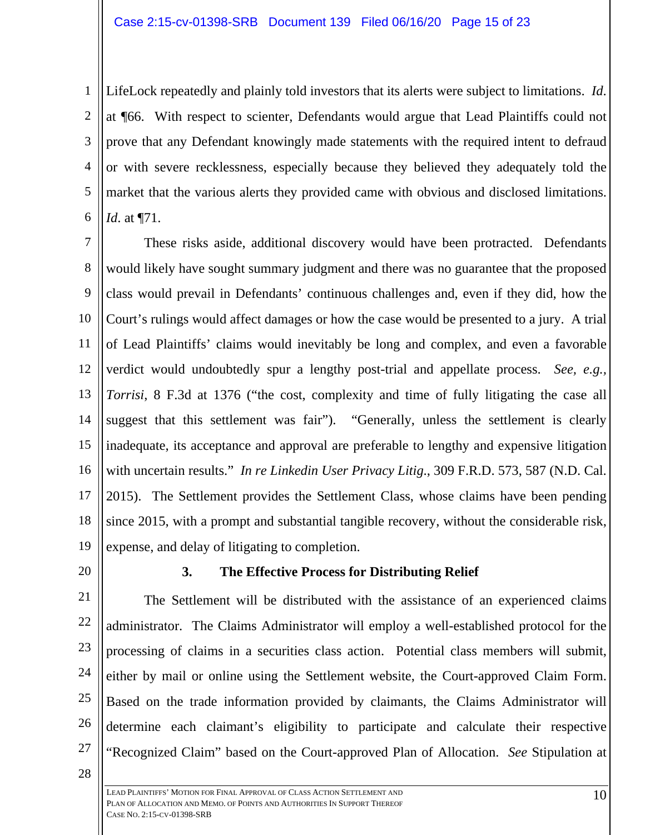1 2 3 4 5 6 LifeLock repeatedly and plainly told investors that its alerts were subject to limitations. *Id*. at ¶66. With respect to scienter, Defendants would argue that Lead Plaintiffs could not prove that any Defendant knowingly made statements with the required intent to defraud or with severe recklessness, especially because they believed they adequately told the market that the various alerts they provided came with obvious and disclosed limitations. *Id*. at ¶71.

7 8 9 10 11 12 13 14 15 16 17 18 19 These risks aside, additional discovery would have been protracted. Defendants would likely have sought summary judgment and there was no guarantee that the proposed class would prevail in Defendants' continuous challenges and, even if they did, how the Court's rulings would affect damages or how the case would be presented to a jury. A trial of Lead Plaintiffs' claims would inevitably be long and complex, and even a favorable verdict would undoubtedly spur a lengthy post-trial and appellate process. *See, e.g., Torrisi*, 8 F.3d at 1376 ("the cost, complexity and time of fully litigating the case all suggest that this settlement was fair"). "Generally, unless the settlement is clearly inadequate, its acceptance and approval are preferable to lengthy and expensive litigation with uncertain results." *In re Linkedin User Privacy Litig*., 309 F.R.D. 573, 587 (N.D. Cal. 2015). The Settlement provides the Settlement Class, whose claims have been pending since 2015, with a prompt and substantial tangible recovery, without the considerable risk, expense, and delay of litigating to completion.

20

#### **3. The Effective Process for Distributing Relief**

21 22 23 24 25 26 27 The Settlement will be distributed with the assistance of an experienced claims administrator. The Claims Administrator will employ a well-established protocol for the processing of claims in a securities class action. Potential class members will submit, either by mail or online using the Settlement website, the Court-approved Claim Form. Based on the trade information provided by claimants, the Claims Administrator will determine each claimant's eligibility to participate and calculate their respective "Recognized Claim" based on the Court-approved Plan of Allocation. *See* Stipulation at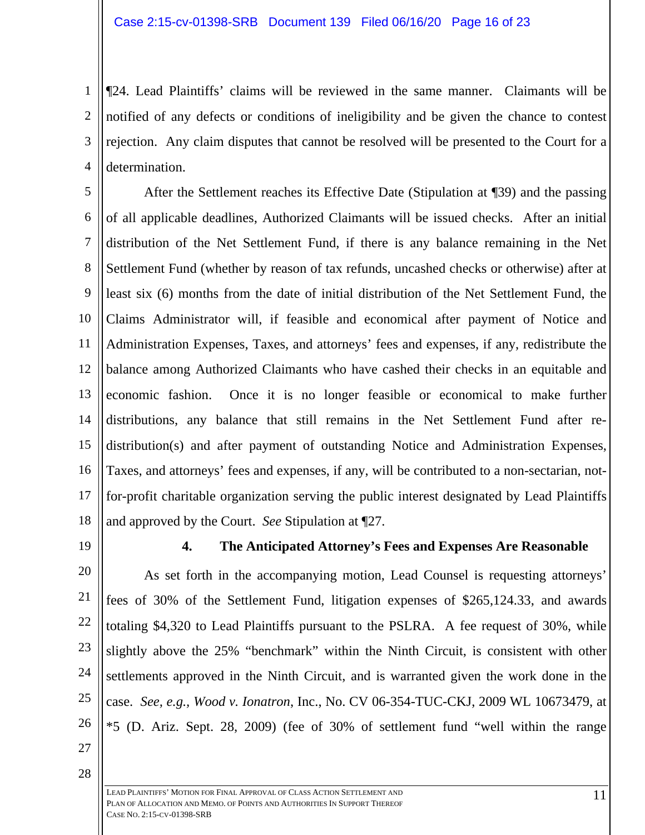1 2 3 4 ¶24. Lead Plaintiffs' claims will be reviewed in the same manner. Claimants will be notified of any defects or conditions of ineligibility and be given the chance to contest rejection. Any claim disputes that cannot be resolved will be presented to the Court for a determination.

5 6 7 8 9 10 11 12 13 14 15 16 17 18 After the Settlement reaches its Effective Date (Stipulation at ¶39) and the passing of all applicable deadlines, Authorized Claimants will be issued checks. After an initial distribution of the Net Settlement Fund, if there is any balance remaining in the Net Settlement Fund (whether by reason of tax refunds, uncashed checks or otherwise) after at least six (6) months from the date of initial distribution of the Net Settlement Fund, the Claims Administrator will, if feasible and economical after payment of Notice and Administration Expenses, Taxes, and attorneys' fees and expenses, if any, redistribute the balance among Authorized Claimants who have cashed their checks in an equitable and economic fashion. Once it is no longer feasible or economical to make further distributions, any balance that still remains in the Net Settlement Fund after redistribution(s) and after payment of outstanding Notice and Administration Expenses, Taxes, and attorneys' fees and expenses, if any, will be contributed to a non-sectarian, notfor-profit charitable organization serving the public interest designated by Lead Plaintiffs and approved by the Court. *See* Stipulation at ¶27.

19

## **4. The Anticipated Attorney's Fees and Expenses Are Reasonable**

20 21 22 23 24 25 26 As set forth in the accompanying motion, Lead Counsel is requesting attorneys' fees of 30% of the Settlement Fund, litigation expenses of \$265,124.33, and awards totaling \$4,320 to Lead Plaintiffs pursuant to the PSLRA. A fee request of 30%, while slightly above the 25% "benchmark" within the Ninth Circuit, is consistent with other settlements approved in the Ninth Circuit, and is warranted given the work done in the case. *See, e.g., Wood v. Ionatron*, Inc., No. CV 06-354-TUC-CKJ, 2009 WL 10673479, at \*5 (D. Ariz. Sept. 28, 2009) (fee of 30% of settlement fund "well within the range

27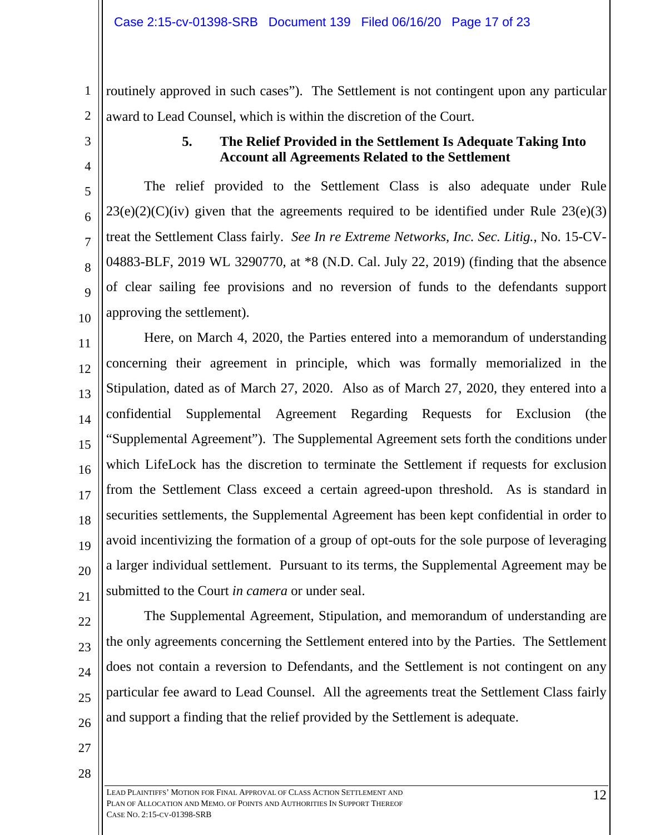1 2 routinely approved in such cases"). The Settlement is not contingent upon any particular award to Lead Counsel, which is within the discretion of the Court.

3

4

5

6

7

8

9

10

## **5. The Relief Provided in the Settlement Is Adequate Taking Into Account all Agreements Related to the Settlement**

The relief provided to the Settlement Class is also adequate under Rule  $23(e)(2)(C)(iv)$  given that the agreements required to be identified under Rule  $23(e)(3)$ treat the Settlement Class fairly. *See In re Extreme Networks, Inc. Sec. Litig.*, No. 15-CV-04883-BLF, 2019 WL 3290770, at \*8 (N.D. Cal. July 22, 2019) (finding that the absence of clear sailing fee provisions and no reversion of funds to the defendants support approving the settlement).

11 12 13 14 15 16 17 18 19 20 21 Here, on March 4, 2020, the Parties entered into a memorandum of understanding concerning their agreement in principle, which was formally memorialized in the Stipulation, dated as of March 27, 2020. Also as of March 27, 2020, they entered into a confidential Supplemental Agreement Regarding Requests for Exclusion (the "Supplemental Agreement"). The Supplemental Agreement sets forth the conditions under which LifeLock has the discretion to terminate the Settlement if requests for exclusion from the Settlement Class exceed a certain agreed-upon threshold. As is standard in securities settlements, the Supplemental Agreement has been kept confidential in order to avoid incentivizing the formation of a group of opt-outs for the sole purpose of leveraging a larger individual settlement. Pursuant to its terms, the Supplemental Agreement may be submitted to the Court *in camera* or under seal.

22 23

24 25 26 The Supplemental Agreement, Stipulation, and memorandum of understanding are the only agreements concerning the Settlement entered into by the Parties. The Settlement does not contain a reversion to Defendants, and the Settlement is not contingent on any particular fee award to Lead Counsel. All the agreements treat the Settlement Class fairly and support a finding that the relief provided by the Settlement is adequate.

27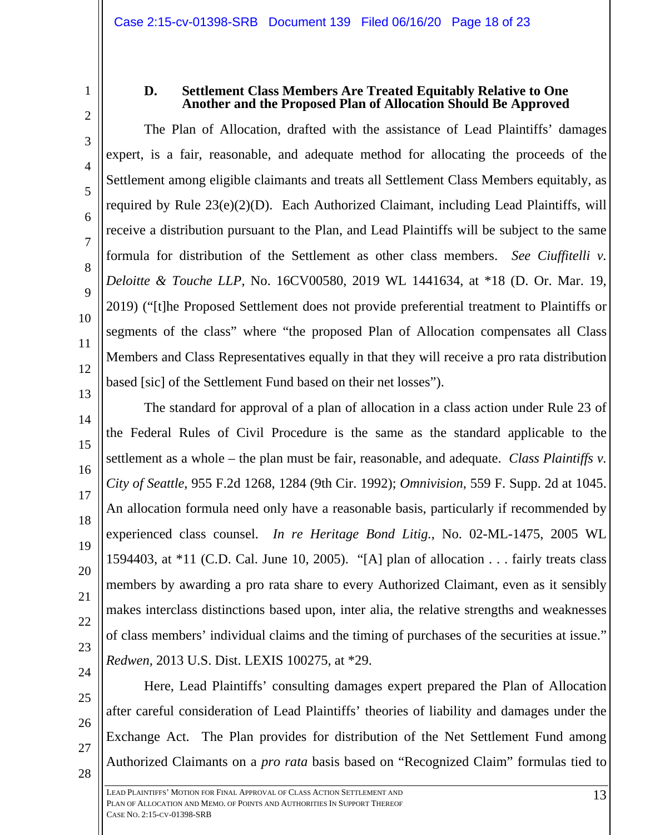2

3

4

5

6

7

8

9

10

11

12

13

14

15

16

17

18

19

20

21

22

23

1

## **D. Settlement Class Members Are Treated Equitably Relative to One Another and the Proposed Plan of Allocation Should Be Approved**

The Plan of Allocation, drafted with the assistance of Lead Plaintiffs' damages expert, is a fair, reasonable, and adequate method for allocating the proceeds of the Settlement among eligible claimants and treats all Settlement Class Members equitably, as required by Rule 23(e)(2)(D). Each Authorized Claimant, including Lead Plaintiffs, will receive a distribution pursuant to the Plan, and Lead Plaintiffs will be subject to the same formula for distribution of the Settlement as other class members. *See Ciuffitelli v. Deloitte & Touche LLP*, No. 16CV00580, 2019 WL 1441634, at \*18 (D. Or. Mar. 19, 2019) ("[t]he Proposed Settlement does not provide preferential treatment to Plaintiffs or segments of the class" where "the proposed Plan of Allocation compensates all Class Members and Class Representatives equally in that they will receive a pro rata distribution based [sic] of the Settlement Fund based on their net losses").

The standard for approval of a plan of allocation in a class action under Rule 23 of the Federal Rules of Civil Procedure is the same as the standard applicable to the settlement as a whole – the plan must be fair, reasonable, and adequate. *Class Plaintiffs v. City of Seattle*, 955 F.2d 1268, 1284 (9th Cir. 1992); *Omnivision*, 559 F. Supp. 2d at 1045. An allocation formula need only have a reasonable basis, particularly if recommended by experienced class counsel. *In re Heritage Bond Litig.*, No. 02-ML-1475, 2005 WL 1594403, at \*11 (C.D. Cal. June 10, 2005). "[A] plan of allocation . . . fairly treats class members by awarding a pro rata share to every Authorized Claimant, even as it sensibly makes interclass distinctions based upon, inter alia, the relative strengths and weaknesses of class members' individual claims and the timing of purchases of the securities at issue." *Redwen,* 2013 U.S. Dist. LEXIS 100275, at \*29.

- 24
- 25 26

27

28

Here, Lead Plaintiffs' consulting damages expert prepared the Plan of Allocation after careful consideration of Lead Plaintiffs' theories of liability and damages under the Exchange Act. The Plan provides for distribution of the Net Settlement Fund among Authorized Claimants on a *pro rata* basis based on "Recognized Claim" formulas tied to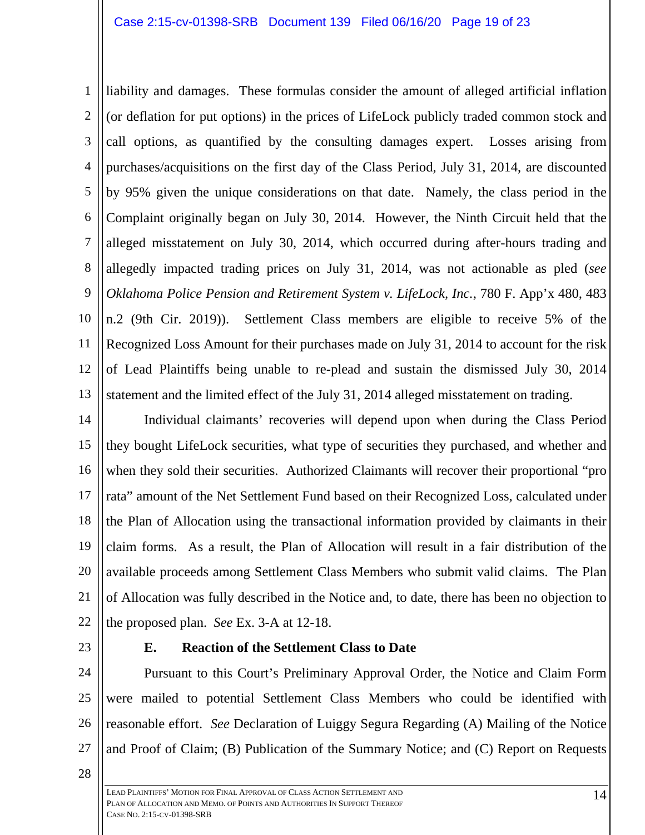1 2 3 4 5 6 7 8 9 10 11 12 13 liability and damages. These formulas consider the amount of alleged artificial inflation (or deflation for put options) in the prices of LifeLock publicly traded common stock and call options, as quantified by the consulting damages expert. Losses arising from purchases/acquisitions on the first day of the Class Period, July 31, 2014, are discounted by 95% given the unique considerations on that date. Namely, the class period in the Complaint originally began on July 30, 2014. However, the Ninth Circuit held that the alleged misstatement on July 30, 2014, which occurred during after-hours trading and allegedly impacted trading prices on July 31, 2014, was not actionable as pled (*see Oklahoma Police Pension and Retirement System v. LifeLock, Inc.*, 780 F. App'x 480, 483 n.2 (9th Cir. 2019)). Settlement Class members are eligible to receive 5% of the Recognized Loss Amount for their purchases made on July 31, 2014 to account for the risk of Lead Plaintiffs being unable to re-plead and sustain the dismissed July 30, 2014 statement and the limited effect of the July 31, 2014 alleged misstatement on trading.

14 15 16 17 18 19 20 21 22 Individual claimants' recoveries will depend upon when during the Class Period they bought LifeLock securities, what type of securities they purchased, and whether and when they sold their securities. Authorized Claimants will recover their proportional "pro rata" amount of the Net Settlement Fund based on their Recognized Loss, calculated under the Plan of Allocation using the transactional information provided by claimants in their claim forms. As a result, the Plan of Allocation will result in a fair distribution of the available proceeds among Settlement Class Members who submit valid claims. The Plan of Allocation was fully described in the Notice and, to date, there has been no objection to the proposed plan. *See* Ex. 3-A at 12-18.

23

## **E. Reaction of the Settlement Class to Date**

24 25 26 27 Pursuant to this Court's Preliminary Approval Order, the Notice and Claim Form were mailed to potential Settlement Class Members who could be identified with reasonable effort. *See* Declaration of Luiggy Segura Regarding (A) Mailing of the Notice and Proof of Claim; (B) Publication of the Summary Notice; and (C) Report on Requests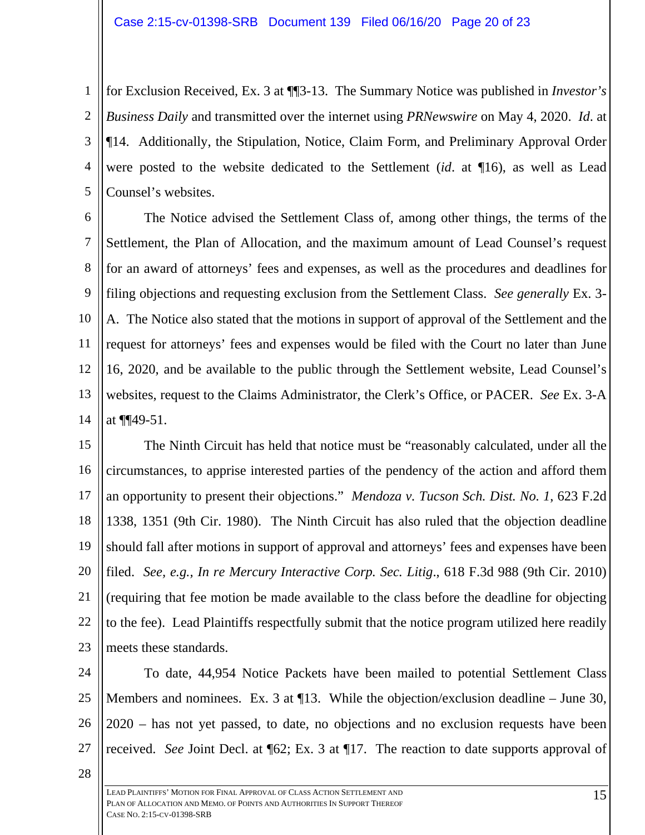1 2 3 4 5 for Exclusion Received, Ex. 3 at ¶¶3-13. The Summary Notice was published in *Investor's Business Daily* and transmitted over the internet using *PRNewswire* on May 4, 2020. *Id*. at ¶14. Additionally, the Stipulation, Notice, Claim Form, and Preliminary Approval Order were posted to the website dedicated to the Settlement (*id*. at ¶16), as well as Lead Counsel's websites.

6 7 8 9 10 11 12 13 14 The Notice advised the Settlement Class of, among other things, the terms of the Settlement, the Plan of Allocation, and the maximum amount of Lead Counsel's request for an award of attorneys' fees and expenses, as well as the procedures and deadlines for filing objections and requesting exclusion from the Settlement Class. *See generally* Ex. 3- A. The Notice also stated that the motions in support of approval of the Settlement and the request for attorneys' fees and expenses would be filed with the Court no later than June 16, 2020, and be available to the public through the Settlement website, Lead Counsel's websites, request to the Claims Administrator, the Clerk's Office, or PACER. *See* Ex. 3-A at ¶¶49-51.

15 16 17 18 19 20 21 22 23 The Ninth Circuit has held that notice must be "reasonably calculated, under all the circumstances, to apprise interested parties of the pendency of the action and afford them an opportunity to present their objections." *Mendoza v. Tucson Sch. Dist. No. 1*, 623 F.2d 1338, 1351 (9th Cir. 1980). The Ninth Circuit has also ruled that the objection deadline should fall after motions in support of approval and attorneys' fees and expenses have been filed. *See, e.g., In re Mercury Interactive Corp. Sec. Litig*., 618 F.3d 988 (9th Cir. 2010) (requiring that fee motion be made available to the class before the deadline for objecting to the fee). Lead Plaintiffs respectfully submit that the notice program utilized here readily meets these standards.

24 25 26 27 To date, 44,954 Notice Packets have been mailed to potential Settlement Class Members and nominees. Ex. 3 at ¶13. While the objection/exclusion deadline – June 30, 2020 – has not yet passed, to date, no objections and no exclusion requests have been received. *See* Joint Decl. at ¶62; Ex. 3 at ¶17. The reaction to date supports approval of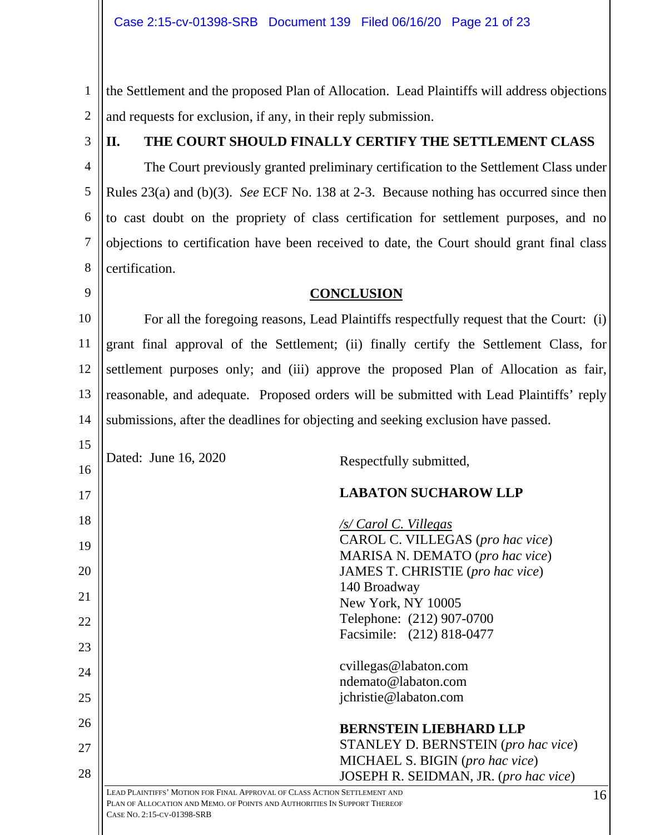1 2 the Settlement and the proposed Plan of Allocation. Lead Plaintiffs will address objections and requests for exclusion, if any, in their reply submission.

3

9

27

28

## **II. THE COURT SHOULD FINALLY CERTIFY THE SETTLEMENT CLASS**

4 5 6 7 8 The Court previously granted preliminary certification to the Settlement Class under Rules 23(a) and (b)(3). *See* ECF No. 138 at 2-3. Because nothing has occurred since then to cast doubt on the propriety of class certification for settlement purposes, and no objections to certification have been received to date, the Court should grant final class certification.

#### **CONCLUSION**

10 11 12 13 14 For all the foregoing reasons, Lead Plaintiffs respectfully request that the Court: (i) grant final approval of the Settlement; (ii) finally certify the Settlement Class, for settlement purposes only; and (iii) approve the proposed Plan of Allocation as fair, reasonable, and adequate. Proposed orders will be submitted with Lead Plaintiffs' reply submissions, after the deadlines for objecting and seeking exclusion have passed.

15 16 17 18 19 20 21 22 23 24 25 26 Dated: June 16, 2020 Respectfully submitted, **LABATON SUCHAROW LLP**  */s/ Carol C. Villegas*  CAROL C. VILLEGAS (*pro hac vice*) MARISA N. DEMATO (*pro hac vice*) JAMES T. CHRISTIE (*pro hac vice*) 140 Broadway New York, NY 10005 Telephone: (212) 907-0700 Facsimile: (212) 818-0477 cvillegas@labaton.com ndemato@labaton.com jchristie@labaton.com **BERNSTEIN LIEBHARD LLP**

> STANLEY D. BERNSTEIN (*pro hac vice*) MICHAEL S. BIGIN (*pro hac vice*) JOSEPH R. SEIDMAN, JR. (*pro hac vice*)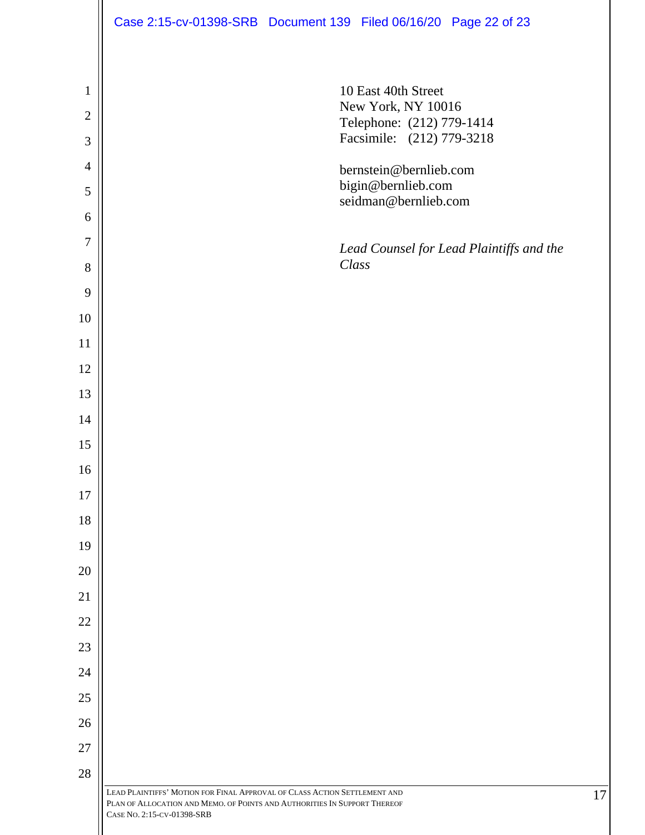|                | Case 2:15-cv-01398-SRB Document 139 Filed 06/16/20 Page 22 of 23                                                                                                                     |
|----------------|--------------------------------------------------------------------------------------------------------------------------------------------------------------------------------------|
|                |                                                                                                                                                                                      |
| $\mathbf{1}$   | 10 East 40th Street                                                                                                                                                                  |
| $\overline{2}$ | New York, NY 10016<br>Telephone: (212) 779-1414                                                                                                                                      |
| 3              | Facsimile: (212) 779-3218                                                                                                                                                            |
| $\overline{4}$ | bernstein@bernlieb.com                                                                                                                                                               |
| $\mathfrak{S}$ | bigin@bernlieb.com<br>seidman@bernlieb.com                                                                                                                                           |
| 6              |                                                                                                                                                                                      |
| $\overline{7}$ | Lead Counsel for Lead Plaintiffs and the                                                                                                                                             |
| 8              | Class                                                                                                                                                                                |
| 9              |                                                                                                                                                                                      |
| 10             |                                                                                                                                                                                      |
| 11             |                                                                                                                                                                                      |
| 12             |                                                                                                                                                                                      |
| 13             |                                                                                                                                                                                      |
| 14             |                                                                                                                                                                                      |
| 15             |                                                                                                                                                                                      |
| 16             |                                                                                                                                                                                      |
| 17             |                                                                                                                                                                                      |
| 18             |                                                                                                                                                                                      |
| 19             |                                                                                                                                                                                      |
| 20             |                                                                                                                                                                                      |
| 21             |                                                                                                                                                                                      |
| 22             |                                                                                                                                                                                      |
| 23             |                                                                                                                                                                                      |
| 24             |                                                                                                                                                                                      |
| 25             |                                                                                                                                                                                      |
| 26             |                                                                                                                                                                                      |
| 27             |                                                                                                                                                                                      |
| 28             |                                                                                                                                                                                      |
|                | LEAD PLAINTIFFS' MOTION FOR FINAL APPROVAL OF CLASS ACTION SETTLEMENT AND<br>PLAN OF ALLOCATION AND MEMO. OF POINTS AND AUTHORITIES IN SUPPORT THEREOF<br>CASE NO. 2:15-CV-01398-SRB |